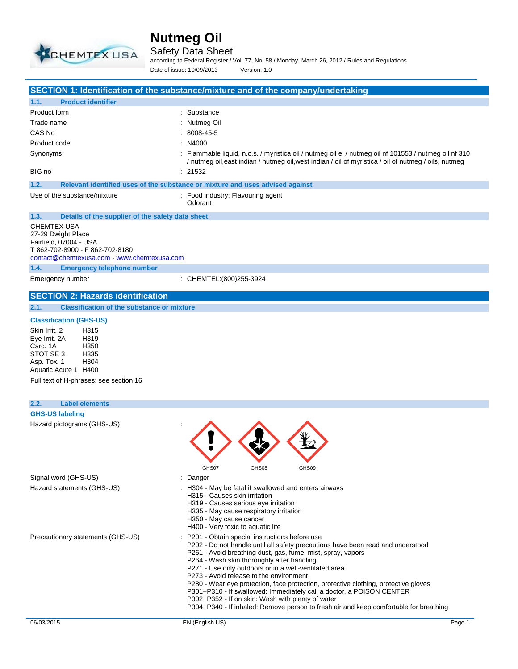

#### Safety Data Sheet

**SECTION 1: Identification of the substance/mixture and of the company/undertaking**

according to Federal Register / Vol. 77, No. 58 / Monday, March 26, 2012 / Rules and Regulations Date of issue: 10/09/2013 Version: 1.0

| Product form<br>Trade name                                                                                                                                                                                |                                                                                                                                                                                                                                                     |
|-----------------------------------------------------------------------------------------------------------------------------------------------------------------------------------------------------------|-----------------------------------------------------------------------------------------------------------------------------------------------------------------------------------------------------------------------------------------------------|
|                                                                                                                                                                                                           | : Substance                                                                                                                                                                                                                                         |
|                                                                                                                                                                                                           | : Nutmeg Oil                                                                                                                                                                                                                                        |
| CAS No                                                                                                                                                                                                    | 8008-45-5                                                                                                                                                                                                                                           |
| Product code                                                                                                                                                                                              | N4000                                                                                                                                                                                                                                               |
| Synonyms                                                                                                                                                                                                  | : Flammable liquid, n.o.s. / myristica oil / nutmeg oil ei / nutmeg oil nf 101553 / nutmeg oil nf 310<br>/ nutmeg oil, east indian / nutmeg oil, west indian / oil of myristica / oil of nutmeg / oils, nutmeg                                      |
| BIG no                                                                                                                                                                                                    | : 21532                                                                                                                                                                                                                                             |
| 1.2.                                                                                                                                                                                                      | Relevant identified uses of the substance or mixture and uses advised against                                                                                                                                                                       |
| Use of the substance/mixture                                                                                                                                                                              | : Food industry: Flavouring agent<br>Odorant                                                                                                                                                                                                        |
| 1.3.<br>Details of the supplier of the safety data sheet<br>CHEMTEX USA<br>27-29 Dwight Place<br>Fairfield, 07004 - USA<br>T 862-702-8900 - F 862-702-8180<br>contact@chemtexusa.com - www.chemtexusa.com |                                                                                                                                                                                                                                                     |
| 1.4.<br><b>Emergency telephone number</b>                                                                                                                                                                 |                                                                                                                                                                                                                                                     |
| Emergency number                                                                                                                                                                                          | : CHEMTEL: (800) 255-3924                                                                                                                                                                                                                           |
| <b>SECTION 2: Hazards identification</b>                                                                                                                                                                  |                                                                                                                                                                                                                                                     |
| 2.1.<br><b>Classification of the substance or mixture</b>                                                                                                                                                 |                                                                                                                                                                                                                                                     |
| <b>Classification (GHS-US)</b>                                                                                                                                                                            |                                                                                                                                                                                                                                                     |
| Skin Irrit, 2<br>H315<br>H319<br>Eye Irrit. 2A<br>H350<br>Carc. 1A<br>STOT SE 3<br>H335<br>Asp. Tox. 1<br>H304<br>Aquatic Acute 1 H400<br>Full text of H-phrases: see section 16                          |                                                                                                                                                                                                                                                     |
|                                                                                                                                                                                                           |                                                                                                                                                                                                                                                     |
| 2.2.<br><b>Label elements</b>                                                                                                                                                                             |                                                                                                                                                                                                                                                     |
| <b>GHS-US labeling</b><br>Hazard pictograms (GHS-US)                                                                                                                                                      |                                                                                                                                                                                                                                                     |
|                                                                                                                                                                                                           | GHS07<br>GHS08<br>GHS09                                                                                                                                                                                                                             |
| Signal word (GHS-US)<br>Hazard statements (GHS-US)                                                                                                                                                        | Danger<br>: H304 - May be fatal if swallowed and enters airways<br>H315 - Causes skin irritation<br>H319 - Causes serious eye irritation<br>H335 - May cause respiratory irritation<br>H350 - May cause cancer<br>H400 - Very toxic to aquatic life |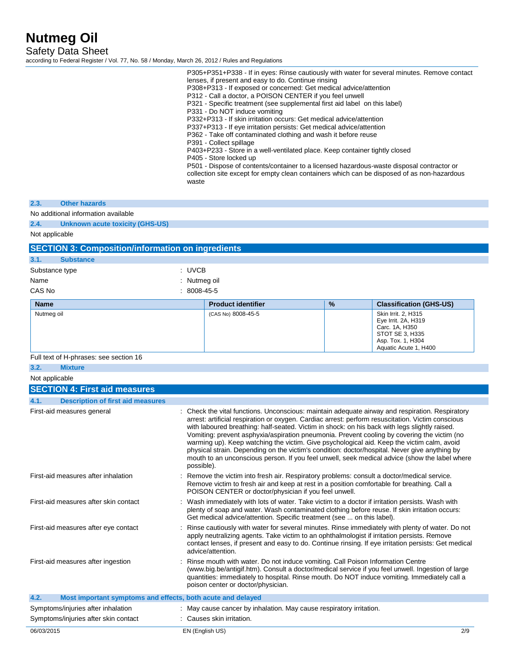Safety Data Sheet

according to Federal Register / Vol. 77, No. 58 / Monday, March 26, 2012 / Rules and Regulations

|                                                                     | waste  | P305+P351+P338 - If in eyes: Rinse cautiously with water for several minutes. Remove contact<br>lenses, if present and easy to do. Continue rinsing<br>P308+P313 - If exposed or concerned: Get medical advice/attention<br>P312 - Call a doctor, a POISON CENTER if you feel unwell<br>P321 - Specific treatment (see supplemental first aid label on this label)<br>P331 - Do NOT induce vomiting<br>P332+P313 - If skin irritation occurs: Get medical advice/attention<br>P337+P313 - If eye irritation persists: Get medical advice/attention<br>P362 - Take off contaminated clothing and wash it before reuse<br>P391 - Collect spillage<br>P403+P233 - Store in a well-ventilated place. Keep container tightly closed<br>P405 - Store locked up<br>P501 - Dispose of contents/container to a licensed hazardous-waste disposal contractor or<br>collection site except for empty clean containers which can be disposed of as non-hazardous |   |                                                                                                                               |
|---------------------------------------------------------------------|--------|------------------------------------------------------------------------------------------------------------------------------------------------------------------------------------------------------------------------------------------------------------------------------------------------------------------------------------------------------------------------------------------------------------------------------------------------------------------------------------------------------------------------------------------------------------------------------------------------------------------------------------------------------------------------------------------------------------------------------------------------------------------------------------------------------------------------------------------------------------------------------------------------------------------------------------------------------|---|-------------------------------------------------------------------------------------------------------------------------------|
| <b>Other hazards</b><br>2.3.                                        |        |                                                                                                                                                                                                                                                                                                                                                                                                                                                                                                                                                                                                                                                                                                                                                                                                                                                                                                                                                      |   |                                                                                                                               |
| No additional information available                                 |        |                                                                                                                                                                                                                                                                                                                                                                                                                                                                                                                                                                                                                                                                                                                                                                                                                                                                                                                                                      |   |                                                                                                                               |
| 2.4.<br><b>Unknown acute toxicity (GHS-US)</b>                      |        |                                                                                                                                                                                                                                                                                                                                                                                                                                                                                                                                                                                                                                                                                                                                                                                                                                                                                                                                                      |   |                                                                                                                               |
| Not applicable                                                      |        |                                                                                                                                                                                                                                                                                                                                                                                                                                                                                                                                                                                                                                                                                                                                                                                                                                                                                                                                                      |   |                                                                                                                               |
| <b>SECTION 3: Composition/information on ingredients</b>            |        |                                                                                                                                                                                                                                                                                                                                                                                                                                                                                                                                                                                                                                                                                                                                                                                                                                                                                                                                                      |   |                                                                                                                               |
| 3.1.<br><b>Substance</b>                                            |        |                                                                                                                                                                                                                                                                                                                                                                                                                                                                                                                                                                                                                                                                                                                                                                                                                                                                                                                                                      |   |                                                                                                                               |
| Substance type                                                      | : UVCB |                                                                                                                                                                                                                                                                                                                                                                                                                                                                                                                                                                                                                                                                                                                                                                                                                                                                                                                                                      |   |                                                                                                                               |
| Name                                                                |        | Nutmeg oil                                                                                                                                                                                                                                                                                                                                                                                                                                                                                                                                                                                                                                                                                                                                                                                                                                                                                                                                           |   |                                                                                                                               |
| CAS No                                                              |        | 8008-45-5                                                                                                                                                                                                                                                                                                                                                                                                                                                                                                                                                                                                                                                                                                                                                                                                                                                                                                                                            |   |                                                                                                                               |
| <b>Name</b>                                                         |        | <b>Product identifier</b>                                                                                                                                                                                                                                                                                                                                                                                                                                                                                                                                                                                                                                                                                                                                                                                                                                                                                                                            | % | <b>Classification (GHS-US)</b>                                                                                                |
| Nutmeg oil                                                          |        | (CAS No) 8008-45-5                                                                                                                                                                                                                                                                                                                                                                                                                                                                                                                                                                                                                                                                                                                                                                                                                                                                                                                                   |   | Skin Irrit. 2, H315<br>Eye Irrit. 2A, H319<br>Carc. 1A, H350<br>STOT SE 3, H335<br>Asp. Tox. 1, H304<br>Aquatic Acute 1, H400 |
| Full text of H-phrases: see section 16                              |        |                                                                                                                                                                                                                                                                                                                                                                                                                                                                                                                                                                                                                                                                                                                                                                                                                                                                                                                                                      |   |                                                                                                                               |
| 3.2.<br><b>Mixture</b>                                              |        |                                                                                                                                                                                                                                                                                                                                                                                                                                                                                                                                                                                                                                                                                                                                                                                                                                                                                                                                                      |   |                                                                                                                               |
| Not applicable                                                      |        |                                                                                                                                                                                                                                                                                                                                                                                                                                                                                                                                                                                                                                                                                                                                                                                                                                                                                                                                                      |   |                                                                                                                               |
| <b>SECTION 4: First aid measures</b>                                |        |                                                                                                                                                                                                                                                                                                                                                                                                                                                                                                                                                                                                                                                                                                                                                                                                                                                                                                                                                      |   |                                                                                                                               |
| 4.1.<br><b>Description of first aid measures</b>                    |        |                                                                                                                                                                                                                                                                                                                                                                                                                                                                                                                                                                                                                                                                                                                                                                                                                                                                                                                                                      |   |                                                                                                                               |
| First-aid measures general                                          |        | : Check the vital functions. Unconscious: maintain adequate airway and respiration. Respiratory<br>arrest: artificial respiration or oxygen. Cardiac arrest: perform resuscitation. Victim conscious<br>with laboured breathing: half-seated. Victim in shock: on his back with legs slightly raised.<br>Vomiting: prevent asphyxia/aspiration pneumonia. Prevent cooling by covering the victim (no<br>warming up). Keep watching the victim. Give psychological aid. Keep the victim calm, avoid<br>physical strain. Depending on the victim's condition: doctor/hospital. Never give anything by<br>mouth to an unconscious person. If you feel unwell, seek medical advice (show the label where<br>possible).                                                                                                                                                                                                                                   |   |                                                                                                                               |
| First-aid measures after inhalation                                 |        | Remove the victim into fresh air. Respiratory problems: consult a doctor/medical service.<br>Remove victim to fresh air and keep at rest in a position comfortable for breathing. Call a<br>POISON CENTER or doctor/physician if you feel unwell.                                                                                                                                                                                                                                                                                                                                                                                                                                                                                                                                                                                                                                                                                                    |   |                                                                                                                               |
| First-aid measures after skin contact                               |        | : Wash immediately with lots of water. Take victim to a doctor if irritation persists. Wash with<br>plenty of soap and water. Wash contaminated clothing before reuse. If skin irritation occurs:<br>Get medical advice/attention. Specific treatment (see  on this label).                                                                                                                                                                                                                                                                                                                                                                                                                                                                                                                                                                                                                                                                          |   |                                                                                                                               |
| First-aid measures after eye contact                                |        | Rinse cautiously with water for several minutes. Rinse immediately with plenty of water. Do not<br>apply neutralizing agents. Take victim to an ophthalmologist if irritation persists. Remove<br>contact lenses, if present and easy to do. Continue rinsing. If eye irritation persists: Get medical<br>advice/attention.                                                                                                                                                                                                                                                                                                                                                                                                                                                                                                                                                                                                                          |   |                                                                                                                               |
| First-aid measures after ingestion                                  |        | Rinse mouth with water. Do not induce vomiting. Call Poison Information Centre<br>(www.big.be/antigif.htm). Consult a doctor/medical service if you feel unwell. Ingestion of large<br>quantities: immediately to hospital. Rinse mouth. Do NOT induce vomiting. Immediately call a<br>poison center or doctor/physician.                                                                                                                                                                                                                                                                                                                                                                                                                                                                                                                                                                                                                            |   |                                                                                                                               |
| 4.2.<br>Most important symptoms and effects, both acute and delayed |        |                                                                                                                                                                                                                                                                                                                                                                                                                                                                                                                                                                                                                                                                                                                                                                                                                                                                                                                                                      |   |                                                                                                                               |
| Symptoms/injuries after inhalation                                  |        | : May cause cancer by inhalation. May cause respiratory irritation.                                                                                                                                                                                                                                                                                                                                                                                                                                                                                                                                                                                                                                                                                                                                                                                                                                                                                  |   |                                                                                                                               |
| Symptoms/injuries after skin contact                                |        | : Causes skin irritation.                                                                                                                                                                                                                                                                                                                                                                                                                                                                                                                                                                                                                                                                                                                                                                                                                                                                                                                            |   |                                                                                                                               |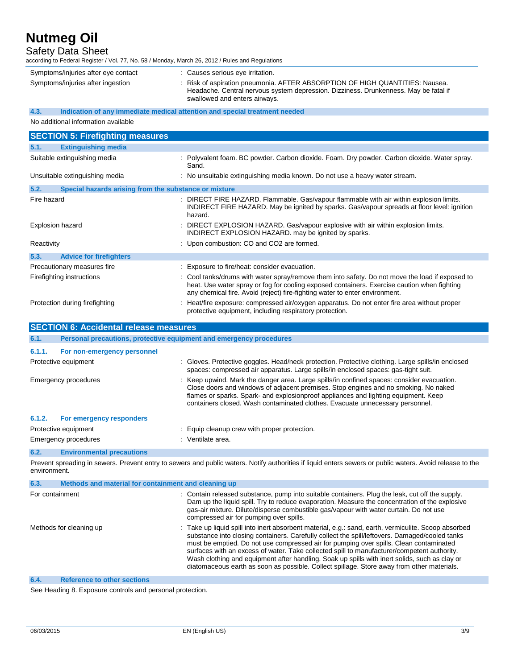Safety Data Sheet

| Symptoms/injuries after eye contact                           | : Causes serious eye irritation.                                                                                                                                                                      |
|---------------------------------------------------------------|-------------------------------------------------------------------------------------------------------------------------------------------------------------------------------------------------------|
| Symptoms/injuries after ingestion                             | : Risk of aspiration pneumonia. AFTER ABSORPTION OF HIGH QUANTITIES: Nausea.<br>Headache. Central nervous system depression. Dizziness. Drunkenness. May be fatal if<br>swallowed and enters airways. |
| 4.3.                                                          | Indication of any immediate medical attention and special treatment needed                                                                                                                            |
| No additional information available                           |                                                                                                                                                                                                       |
| <b>SECTION 5: Firefighting measures</b>                       |                                                                                                                                                                                                       |
| <b>Extinguishing media</b><br>5.1.                            |                                                                                                                                                                                                       |
| Suitable extinguishing media                                  | : Polyvalent foam. BC powder. Carbon dioxide. Foam. Dry powder. Carbon dioxide. Water spray.<br>Sand.                                                                                                 |
| Unsuitable extinguishing media                                | : No unsuitable extinguishing media known. Do not use a heavy water stream.                                                                                                                           |
| 5.2.<br>Special hazards arising from the substance or mixture |                                                                                                                                                                                                       |
| Fire hazard                                                   | : DIRECT FIRE HAZARD. Flammable. Gas/vapour flammable with air within explosion limits.<br>INDIRECT FIRE HAZARD. May be ignited by sparks. Gas/vapour spreads at floor level: ignition<br>hazard.     |
| Explosion hazard                                              | : DIRECT EXPLOSION HAZARD. Gas/vapour explosive with air within explosion limits.<br>INDIRECT EXPLOSION HAZARD. may be ignited by sparks.                                                             |
| Reactivity                                                    | : Upon combustion: CO and CO2 are formed.                                                                                                                                                             |

| 5.3. | <b>Advice for firefighters</b> |                                                                                                                                                                                                                                                                               |
|------|--------------------------------|-------------------------------------------------------------------------------------------------------------------------------------------------------------------------------------------------------------------------------------------------------------------------------|
|      | Precautionary measures fire    | : Exposure to fire/heat: consider evacuation.                                                                                                                                                                                                                                 |
|      | Firefighting instructions      | : Cool tanks/drums with water spray/remove them into safety. Do not move the load if exposed to<br>heat. Use water spray or fog for cooling exposed containers. Exercise caution when fighting<br>any chemical fire. Avoid (reject) fire-fighting water to enter environment. |
|      | Protection during firefighting | : Heat/fire exposure: compressed air/oxygen apparatus. Do not enter fire area without proper<br>protective equipment, including respiratory protection.                                                                                                                       |

| <b>SECTION 6: Accidental release measures</b> |                                                                     |                                                                                                                                                                                                                                                                                                                                                           |  |
|-----------------------------------------------|---------------------------------------------------------------------|-----------------------------------------------------------------------------------------------------------------------------------------------------------------------------------------------------------------------------------------------------------------------------------------------------------------------------------------------------------|--|
| 6.1.                                          | Personal precautions, protective equipment and emergency procedures |                                                                                                                                                                                                                                                                                                                                                           |  |
| 6.1.1.                                        | For non-emergency personnel                                         |                                                                                                                                                                                                                                                                                                                                                           |  |
|                                               | Protective equipment                                                | : Gloves. Protective goggles. Head/neck protection. Protective clothing. Large spills/in enclosed<br>spaces: compressed air apparatus. Large spills/in enclosed spaces: gas-tight suit.                                                                                                                                                                   |  |
| Emergency procedures                          |                                                                     | : Keep upwind. Mark the danger area. Large spills/in confined spaces: consider evacuation.<br>Close doors and windows of adjacent premises. Stop engines and no smoking. No naked<br>flames or sparks. Spark- and explosionproof appliances and lighting equipment. Keep<br>containers closed. Wash contaminated clothes. Evacuate unnecessary personnel. |  |
| 6.1.2.                                        | For emergency responders                                            |                                                                                                                                                                                                                                                                                                                                                           |  |
| Protective equipment                          |                                                                     | : Equip cleanup crew with proper protection.                                                                                                                                                                                                                                                                                                              |  |
| Emergency procedures                          |                                                                     | : Ventilate area.                                                                                                                                                                                                                                                                                                                                         |  |
| 6.2.                                          | <b>Environmental precautions</b>                                    |                                                                                                                                                                                                                                                                                                                                                           |  |

Prevent spreading in sewers. Prevent entry to sewers and public waters. Notify authorities if liquid enters sewers or public waters. Avoid release to the environment.

| 6.3. | Methods and material for containment and cleaning up |                                                                                                                                                                                                                                                                                                                                                                                                                                                                                                                                                                                                |
|------|------------------------------------------------------|------------------------------------------------------------------------------------------------------------------------------------------------------------------------------------------------------------------------------------------------------------------------------------------------------------------------------------------------------------------------------------------------------------------------------------------------------------------------------------------------------------------------------------------------------------------------------------------------|
|      | For containment                                      | : Contain released substance, pump into suitable containers. Plug the leak, cut off the supply.<br>Dam up the liquid spill. Try to reduce evaporation. Measure the concentration of the explosive<br>gas-air mixture. Dilute/disperse combustible gas/vapour with water curtain. Do not use<br>compressed air for pumping over spills.                                                                                                                                                                                                                                                         |
|      | Methods for cleaning up                              | : Take up liquid spill into inert absorbent material, e.g.: sand, earth, vermiculite. Scoop absorbed<br>substance into closing containers. Carefully collect the spill/leftovers. Damaged/cooled tanks<br>must be emptied. Do not use compressed air for pumping over spills. Clean contaminated<br>surfaces with an excess of water. Take collected spill to manufacturer/competent authority.<br>Wash clothing and equipment after handling. Soak up spills with inert solids, such as clay or<br>diatomaceous earth as soon as possible. Collect spillage. Store away from other materials. |
| 6.4. | <b>Reference to other sections</b>                   |                                                                                                                                                                                                                                                                                                                                                                                                                                                                                                                                                                                                |

See Heading 8. Exposure controls and personal protection.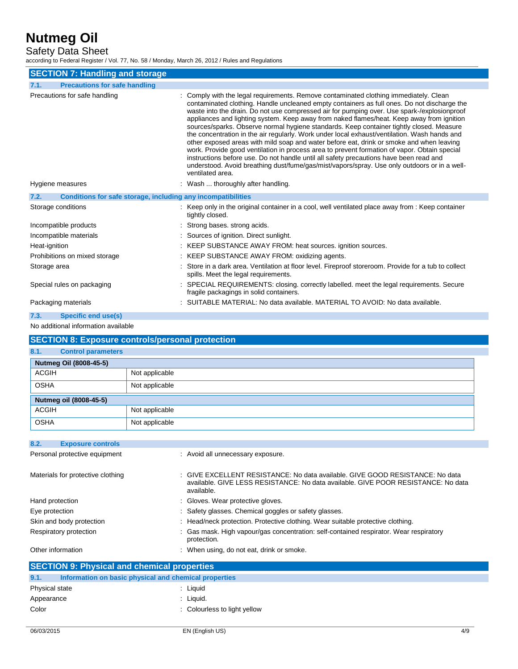Safety Data Sheet

according to Federal Register / Vol. 77, No. 58 / Monday, March 26, 2012 / Rules and Regulations

| <b>SECTION 7: Handling and storage</b>                               |                                                                                                                                                                                                                                                                                                                                                                                                                                                                                                                                                                                                                                                                                                                                                                                                                                                                                                                                                                                        |  |  |
|----------------------------------------------------------------------|----------------------------------------------------------------------------------------------------------------------------------------------------------------------------------------------------------------------------------------------------------------------------------------------------------------------------------------------------------------------------------------------------------------------------------------------------------------------------------------------------------------------------------------------------------------------------------------------------------------------------------------------------------------------------------------------------------------------------------------------------------------------------------------------------------------------------------------------------------------------------------------------------------------------------------------------------------------------------------------|--|--|
| <b>Precautions for safe handling</b><br>7.1.                         |                                                                                                                                                                                                                                                                                                                                                                                                                                                                                                                                                                                                                                                                                                                                                                                                                                                                                                                                                                                        |  |  |
| Precautions for safe handling                                        | : Comply with the legal requirements. Remove contaminated clothing immediately. Clean<br>contaminated clothing. Handle uncleaned empty containers as full ones. Do not discharge the<br>waste into the drain. Do not use compressed air for pumping over. Use spark-/explosionproof<br>appliances and lighting system. Keep away from naked flames/heat. Keep away from ignition<br>sources/sparks. Observe normal hygiene standards. Keep container tightly closed. Measure<br>the concentration in the air regularly. Work under local exhaust/ventilation. Wash hands and<br>other exposed areas with mild soap and water before eat, drink or smoke and when leaving<br>work. Provide good ventilation in process area to prevent formation of vapor. Obtain special<br>instructions before use. Do not handle until all safety precautions have been read and<br>understood. Avoid breathing dust/fume/gas/mist/vapors/spray. Use only outdoors or in a well-<br>ventilated area. |  |  |
| Hygiene measures                                                     | : Wash  thoroughly after handling.                                                                                                                                                                                                                                                                                                                                                                                                                                                                                                                                                                                                                                                                                                                                                                                                                                                                                                                                                     |  |  |
| Conditions for safe storage, including any incompatibilities<br>7.2. |                                                                                                                                                                                                                                                                                                                                                                                                                                                                                                                                                                                                                                                                                                                                                                                                                                                                                                                                                                                        |  |  |
| Storage conditions                                                   | : Keep only in the original container in a cool, well ventilated place away from : Keep container<br>tightly closed.                                                                                                                                                                                                                                                                                                                                                                                                                                                                                                                                                                                                                                                                                                                                                                                                                                                                   |  |  |
| Incompatible products                                                | : Strong bases. strong acids.                                                                                                                                                                                                                                                                                                                                                                                                                                                                                                                                                                                                                                                                                                                                                                                                                                                                                                                                                          |  |  |
| Incompatible materials                                               | : Sources of ignition. Direct sunlight.                                                                                                                                                                                                                                                                                                                                                                                                                                                                                                                                                                                                                                                                                                                                                                                                                                                                                                                                                |  |  |
| Heat-ignition                                                        | : KEEP SUBSTANCE AWAY FROM: heat sources. ignition sources.                                                                                                                                                                                                                                                                                                                                                                                                                                                                                                                                                                                                                                                                                                                                                                                                                                                                                                                            |  |  |
| Prohibitions on mixed storage                                        | : KEEP SUBSTANCE AWAY FROM: oxidizing agents.                                                                                                                                                                                                                                                                                                                                                                                                                                                                                                                                                                                                                                                                                                                                                                                                                                                                                                                                          |  |  |
| Storage area                                                         | Store in a dark area. Ventilation at floor level. Fireproof storeroom. Provide for a tub to collect<br>spills. Meet the legal requirements.                                                                                                                                                                                                                                                                                                                                                                                                                                                                                                                                                                                                                                                                                                                                                                                                                                            |  |  |
| Special rules on packaging                                           | : SPECIAL REQUIREMENTS: closing. correctly labelled. meet the legal requirements. Secure<br>fragile packagings in solid containers.                                                                                                                                                                                                                                                                                                                                                                                                                                                                                                                                                                                                                                                                                                                                                                                                                                                    |  |  |
| Packaging materials                                                  | : SUITABLE MATERIAL: No data available. MATERIAL TO AVOID: No data available.                                                                                                                                                                                                                                                                                                                                                                                                                                                                                                                                                                                                                                                                                                                                                                                                                                                                                                          |  |  |

#### **7.3. Specific end use(s)**

No additional information available

#### **SECTION 8: Exposure controls/personal protection**

| 8.1.         | <b>Control parameters</b> |                |
|--------------|---------------------------|----------------|
|              | Nutmeg Oil (8008-45-5)    |                |
| <b>ACGIH</b> |                           | Not applicable |
| <b>OSHA</b>  |                           | Not applicable |
|              | Nutmeg oil (8008-45-5)    |                |
| <b>ACGIH</b> |                           | Not applicable |
| <b>OSHA</b>  |                           | Not applicable |

| 8.2.<br><b>Exposure controls</b>                   |                                                                                                                                                                                  |  |  |
|----------------------------------------------------|----------------------------------------------------------------------------------------------------------------------------------------------------------------------------------|--|--|
| Personal protective equipment                      | : Avoid all unnecessary exposure.                                                                                                                                                |  |  |
| Materials for protective clothing                  | : GIVE EXCELLENT RESISTANCE: No data available. GIVE GOOD RESISTANCE: No data<br>available. GIVE LESS RESISTANCE: No data available. GIVE POOR RESISTANCE: No data<br>available. |  |  |
| Hand protection                                    | : Gloves. Wear protective gloves.                                                                                                                                                |  |  |
| Eye protection                                     | : Safety glasses. Chemical goggles or safety glasses.                                                                                                                            |  |  |
| Skin and body protection                           | : Head/neck protection. Protective clothing. Wear suitable protective clothing.                                                                                                  |  |  |
| Respiratory protection                             | : Gas mask. High vapour/gas concentration: self-contained respirator. Wear respiratory<br>protection.                                                                            |  |  |
| Other information                                  | : When using, do not eat, drink or smoke.                                                                                                                                        |  |  |
| <b>SECTION 9: Physical and chemical properties</b> |                                                                                                                                                                                  |  |  |

| 9.1.           | Information on basic physical and chemical properties |                              |
|----------------|-------------------------------------------------------|------------------------------|
| Physical state |                                                       | Liauid                       |
| Appearance     |                                                       | Liquid.                      |
| Color          |                                                       | : Colourless to light yellow |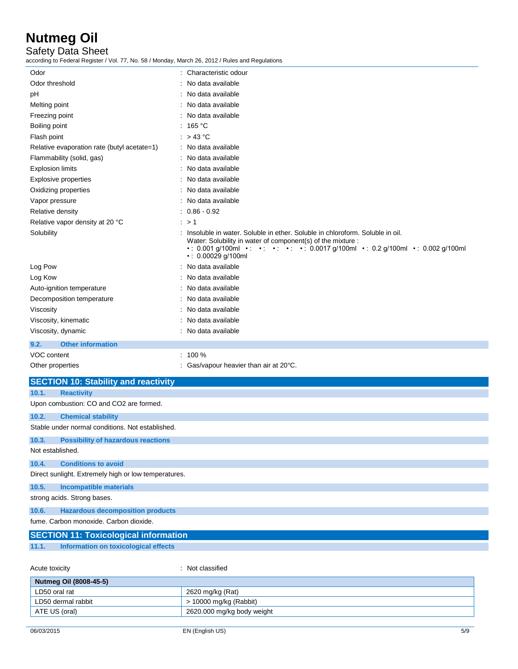Safety Data Sheet

according to Federal Register / Vol. 77, No. 58 / Monday, March 26, 2012 / Rules and Regulations

| CCOrding to Federal Register / Vol. 77, NO. 36 / Monday, March 20, 2012 / Rules and Regulations |                                                                                                                                                                                                                                                              |
|-------------------------------------------------------------------------------------------------|--------------------------------------------------------------------------------------------------------------------------------------------------------------------------------------------------------------------------------------------------------------|
| Odor                                                                                            | : Characteristic odour                                                                                                                                                                                                                                       |
| Odor threshold                                                                                  | : No data available                                                                                                                                                                                                                                          |
| рH                                                                                              | : No data available                                                                                                                                                                                                                                          |
| Melting point                                                                                   | : No data available                                                                                                                                                                                                                                          |
| Freezing point                                                                                  | No data available                                                                                                                                                                                                                                            |
| Boiling point                                                                                   | : 165 °C                                                                                                                                                                                                                                                     |
| Flash point                                                                                     | : $>43^{\circ}$ C                                                                                                                                                                                                                                            |
| Relative evaporation rate (butyl acetate=1)                                                     | : No data available                                                                                                                                                                                                                                          |
| Flammability (solid, gas)                                                                       | No data available                                                                                                                                                                                                                                            |
| <b>Explosion limits</b>                                                                         | No data available                                                                                                                                                                                                                                            |
| Explosive properties                                                                            | No data available                                                                                                                                                                                                                                            |
| Oxidizing properties                                                                            | : No data available                                                                                                                                                                                                                                          |
| Vapor pressure                                                                                  | No data available                                                                                                                                                                                                                                            |
| Relative density                                                                                | $: 0.86 - 0.92$                                                                                                                                                                                                                                              |
| Relative vapor density at 20 °C                                                                 | : > 1                                                                                                                                                                                                                                                        |
| Solubility                                                                                      | : Insoluble in water. Soluble in ether. Soluble in chloroform. Soluble in oil.<br>Water: Solubility in water of component(s) of the mixture :<br>•: 0.001 g/100ml •: •: •: •: •: 0.0017 g/100ml •: 0.2 g/100ml •: 0.002 g/100ml<br>$\cdot$ : 0.00029 g/100ml |
| Log Pow                                                                                         | No data available                                                                                                                                                                                                                                            |
| Log Kow                                                                                         | No data available                                                                                                                                                                                                                                            |
| Auto-ignition temperature                                                                       | No data available                                                                                                                                                                                                                                            |
| Decomposition temperature                                                                       | No data available                                                                                                                                                                                                                                            |
| Viscosity                                                                                       | No data available                                                                                                                                                                                                                                            |
| Viscosity, kinematic                                                                            | No data available                                                                                                                                                                                                                                            |
| Viscosity, dynamic                                                                              | : No data available                                                                                                                                                                                                                                          |
| 9.2.<br><b>Other information</b>                                                                |                                                                                                                                                                                                                                                              |
| VOC content                                                                                     | $: 100 \%$                                                                                                                                                                                                                                                   |
| Other properties                                                                                | : Gas/vapour heavier than air at $20^{\circ}$ C.                                                                                                                                                                                                             |
| <b>SECTION 10: Stability and reactivity</b>                                                     |                                                                                                                                                                                                                                                              |
| 10.1.<br><b>Reactivity</b>                                                                      |                                                                                                                                                                                                                                                              |
| Upon combustion: CO and CO2 are formed.                                                         |                                                                                                                                                                                                                                                              |
| 10.2.<br><b>Chemical stability</b>                                                              |                                                                                                                                                                                                                                                              |
| Stable under normal conditions. Not established.                                                |                                                                                                                                                                                                                                                              |
| 10.3.<br><b>Possibility of hazardous reactions</b>                                              |                                                                                                                                                                                                                                                              |
| Not established.                                                                                |                                                                                                                                                                                                                                                              |
| <b>Conditions to avoid</b><br>10.4.                                                             |                                                                                                                                                                                                                                                              |
| Direct sunlight. Extremely high or low temperatures.                                            |                                                                                                                                                                                                                                                              |
| <b>Incompatible materials</b><br>10.5.<br>strong acids. Strong bases.                           |                                                                                                                                                                                                                                                              |
| 10.6.<br><b>Hazardous decomposition products</b>                                                |                                                                                                                                                                                                                                                              |
| fume. Carbon monoxide. Carbon dioxide.                                                          |                                                                                                                                                                                                                                                              |
| <b>SECTION 11: Toxicological information</b>                                                    |                                                                                                                                                                                                                                                              |
| <b>Information on toxicological effects</b><br>11.1.                                            |                                                                                                                                                                                                                                                              |
|                                                                                                 |                                                                                                                                                                                                                                                              |

| Acute toxicity         | : Not classified           |
|------------------------|----------------------------|
| Nutmeg Oil (8008-45-5) |                            |
| LD50 oral rat          | 2620 mg/kg (Rat)           |
| LD50 dermal rabbit     | > 10000 mg/kg (Rabbit)     |
| ATE US (oral)          | 2620.000 mg/kg body weight |
|                        |                            |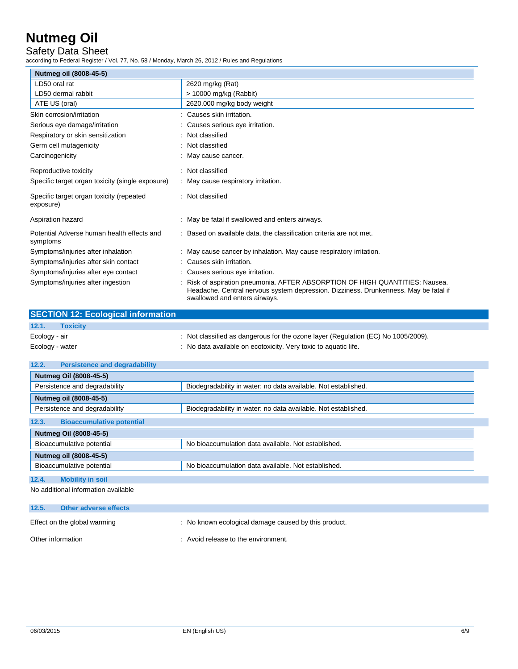#### Safety Data Sheet

according to Federal Register / Vol. 77, No. 58 / Monday, March 26, 2012 / Rules and Regulations

| Nutmeg oil (8008-45-5)                                 |                                                                                                                                                                                                     |  |
|--------------------------------------------------------|-----------------------------------------------------------------------------------------------------------------------------------------------------------------------------------------------------|--|
| LD50 oral rat                                          | 2620 mg/kg (Rat)                                                                                                                                                                                    |  |
| LD50 dermal rabbit                                     | $> 10000$ mg/kg (Rabbit)                                                                                                                                                                            |  |
| ATE US (oral)                                          | 2620.000 mg/kg body weight                                                                                                                                                                          |  |
| Skin corrosion/irritation                              | Causes skin irritation.                                                                                                                                                                             |  |
| Serious eye damage/irritation                          | Causes serious eye irritation.                                                                                                                                                                      |  |
| Respiratory or skin sensitization                      | Not classified                                                                                                                                                                                      |  |
| Germ cell mutagenicity                                 | Not classified                                                                                                                                                                                      |  |
| Carcinogenicity                                        | May cause cancer.                                                                                                                                                                                   |  |
| Reproductive toxicity                                  | : Not classified                                                                                                                                                                                    |  |
| Specific target organ toxicity (single exposure)       | : May cause respiratory irritation.                                                                                                                                                                 |  |
| Specific target organ toxicity (repeated<br>exposure)  | : Not classified                                                                                                                                                                                    |  |
| Aspiration hazard                                      | May be fatal if swallowed and enters airways.                                                                                                                                                       |  |
| Potential Adverse human health effects and<br>symptoms | : Based on available data, the classification criteria are not met.                                                                                                                                 |  |
| Symptoms/injuries after inhalation                     | May cause cancer by inhalation. May cause respiratory irritation.                                                                                                                                   |  |
| Symptoms/injuries after skin contact                   | Causes skin irritation.                                                                                                                                                                             |  |
| Symptoms/injuries after eye contact                    | Causes serious eye irritation.                                                                                                                                                                      |  |
| Symptoms/injuries after ingestion                      | Risk of aspiration pneumonia. AFTER ABSORPTION OF HIGH QUANTITIES: Nausea.<br>Headache. Central nervous system depression. Dizziness. Drunkenness. May be fatal if<br>swallowed and enters airways. |  |

|                 | <b>SECTION 12: Ecological information</b> |                                                                                 |
|-----------------|-------------------------------------------|---------------------------------------------------------------------------------|
| 12.1.           | <b>Toxicity</b>                           |                                                                                 |
| Ecology - air   |                                           | Not classified as dangerous for the ozone layer (Regulation (EC) No 1005/2009). |
| Ecology - water |                                           | No data available on ecotoxicity. Very toxic to aquatic life.                   |

| 12.2.<br><b>Persistence and degradability</b>                                                   |                                                                |
|-------------------------------------------------------------------------------------------------|----------------------------------------------------------------|
| Nutmeg Oil (8008-45-5)                                                                          |                                                                |
| Persistence and degradability<br>Biodegradability in water: no data available. Not established. |                                                                |
| Nutmeg oil (8008-45-5)                                                                          |                                                                |
| Persistence and degradability                                                                   | Biodegradability in water: no data available. Not established. |
| <b>Bioaccumulative potential</b><br>12.3.                                                       |                                                                |
| Nutmeg Oil (8008-45-5)                                                                          |                                                                |
| Bioaccumulative potential<br>No bioaccumulation data available. Not established.                |                                                                |
| Nutmeg oil (8008-45-5)                                                                          |                                                                |
| Bioaccumulative potential                                                                       | No bioaccumulation data available. Not established.            |
| 12.4.<br><b>Mobility in soil</b>                                                                |                                                                |

No additional information available

| 12.5.             | Other adverse effects        |                                                      |
|-------------------|------------------------------|------------------------------------------------------|
|                   | Effect on the global warming | : No known ecological damage caused by this product. |
| Other information |                              | : Avoid release to the environment.                  |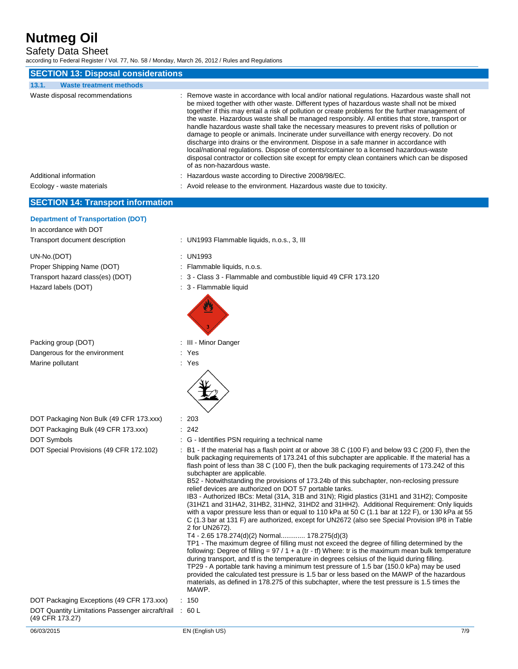Safety Data Sheet

according to Federal Register / Vol. 77, No. 58 / Monday, March 26, 2012 / Rules and Regulations

| <b>SECTION 13: Disposal considerations</b>                                                            |                                                                                                                                                                                                                                                                                                                                                                                                                                                                                                                                                                                                                                                                                                                                                                                                                                                                                                               |  |
|-------------------------------------------------------------------------------------------------------|---------------------------------------------------------------------------------------------------------------------------------------------------------------------------------------------------------------------------------------------------------------------------------------------------------------------------------------------------------------------------------------------------------------------------------------------------------------------------------------------------------------------------------------------------------------------------------------------------------------------------------------------------------------------------------------------------------------------------------------------------------------------------------------------------------------------------------------------------------------------------------------------------------------|--|
| 13.1.<br><b>Waste treatment methods</b>                                                               |                                                                                                                                                                                                                                                                                                                                                                                                                                                                                                                                                                                                                                                                                                                                                                                                                                                                                                               |  |
| Waste disposal recommendations                                                                        | : Remove waste in accordance with local and/or national regulations. Hazardous waste shall not<br>be mixed together with other waste. Different types of hazardous waste shall not be mixed<br>together if this may entail a risk of pollution or create problems for the further management of<br>the waste. Hazardous waste shall be managed responsibly. All entities that store, transport or<br>handle hazardous waste shall take the necessary measures to prevent risks of pollution or<br>damage to people or animals. Incinerate under surveillance with energy recovery. Do not<br>discharge into drains or the environment. Dispose in a safe manner in accordance with<br>local/national regulations. Dispose of contents/container to a licensed hazardous-waste<br>disposal contractor or collection site except for empty clean containers which can be disposed<br>of as non-hazardous waste. |  |
| Additional information                                                                                | : Hazardous waste according to Directive 2008/98/EC.                                                                                                                                                                                                                                                                                                                                                                                                                                                                                                                                                                                                                                                                                                                                                                                                                                                          |  |
| Ecology - waste materials                                                                             | : Avoid release to the environment. Hazardous waste due to toxicity.                                                                                                                                                                                                                                                                                                                                                                                                                                                                                                                                                                                                                                                                                                                                                                                                                                          |  |
| <b>SECTION 14: Transport information</b>                                                              |                                                                                                                                                                                                                                                                                                                                                                                                                                                                                                                                                                                                                                                                                                                                                                                                                                                                                                               |  |
| <b>Department of Transportation (DOT)</b><br>In accordance with DOT<br>Transport document description | : UN1993 Flammable liquids, n.o.s., 3, III                                                                                                                                                                                                                                                                                                                                                                                                                                                                                                                                                                                                                                                                                                                                                                                                                                                                    |  |
| UN-No.(DOT)                                                                                           | : UN1993                                                                                                                                                                                                                                                                                                                                                                                                                                                                                                                                                                                                                                                                                                                                                                                                                                                                                                      |  |
| Proper Shipping Name (DOT)                                                                            | : Flammable liquids, n.o.s.                                                                                                                                                                                                                                                                                                                                                                                                                                                                                                                                                                                                                                                                                                                                                                                                                                                                                   |  |
| Transport hazard class(es) (DOT)                                                                      | : 3 - Class 3 - Flammable and combustible liquid 49 CFR 173.120                                                                                                                                                                                                                                                                                                                                                                                                                                                                                                                                                                                                                                                                                                                                                                                                                                               |  |
| Hazard labels (DOT)                                                                                   | : 3 - Flammable liquid                                                                                                                                                                                                                                                                                                                                                                                                                                                                                                                                                                                                                                                                                                                                                                                                                                                                                        |  |

bulk packaging requirements of 173.241 of this subchapter are applicable. If the material has a flash point of less than 38 C (100 F), then the bulk packaging requirements of 173.242 of this

B52 - Notwithstanding the provisions of 173.24b of this subchapter, non-reclosing pressure

IB3 - Authorized IBCs: Metal (31A, 31B and 31N); Rigid plastics (31H1 and 31H2); Composite (31HZ1 and 31HA2, 31HB2, 31HN2, 31HD2 and 31HH2). Additional Requirement: Only liquids with a vapor pressure less than or equal to 110 kPa at 50 C (1.1 bar at 122 F), or 130 kPa at 55 C (1.3 bar at 131 F) are authorized, except for UN2672 (also see Special Provision IP8 in Table

TP1 - The maximum degree of filling must not exceed the degree of filling determined by the following: Degree of filling =  $97 / 1 + a$  (tr - tf) Where: tr is the maximum mean bulk temperature during transport, and tf is the temperature in degrees celsius of the liquid during filling. TP29 - A portable tank having a minimum test pressure of 1.5 bar (150.0 kPa) may be used provided the calculated test pressure is 1.5 bar or less based on the MAWP of the hazardous materials, as defined in 178.275 of this subchapter, where the test pressure is 1.5 times the

| Packing group (DOT)           |
|-------------------------------|
| Dangerous for the environment |
| Marine pollutant              |

| DOT Packaging Non Bulk (49 CFR 173.xxx) | $\therefore$ 203 |
|-----------------------------------------|------------------|
| DOT Packaging Bulk (49 CFR 173.xxx)     | : 242            |

DOT Symbols **DOT** Symbols **EXECUTE:** G - Identifies PSN requiring a technical name

DOT Special Provisions (49 CFR 172.102) : B1 - If the material has a flash point at or above 38 C (100 F) and below 93 C (200 F), then the

MAWP. DOT Packaging Exceptions (49 CFR 173.xxx) : 150

DOT Quantity Limitations Passenger aircraft/rail : 60 L

- (49 CFR 173.27)
- 
- 06/03/2015 EN (English US) 7/9

: III - Minor Danger

subchapter are applicable.

2 for UN2672).

relief devices are authorized on DOT 57 portable tanks.

T4 - 2.65 178.274(d)(2) Normal............. 178.275(d)(3)

: Yes : Yes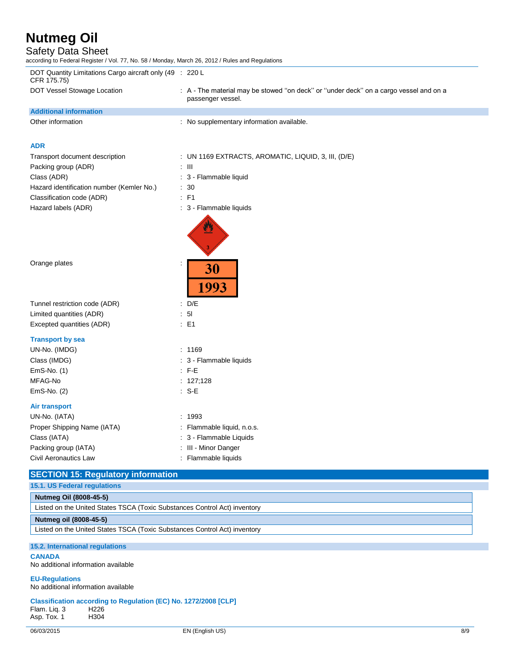# Safety Data Sheet<br>according to Federal Register / \

rding to Federal Register / Vol. 77, No. 58 / Monday, March 26, 2012 / Rules and Regulations

| DOT Quantity Limitations Cargo aircraft only (49 : 220 L<br>CFR 175.75)   |                                                                                                            |  |
|---------------------------------------------------------------------------|------------------------------------------------------------------------------------------------------------|--|
| DOT Vessel Stowage Location                                               | : A - The material may be stowed "on deck" or "under deck" on a cargo vessel and on a<br>passenger vessel. |  |
| <b>Additional information</b>                                             |                                                                                                            |  |
| Other information                                                         | : No supplementary information available.                                                                  |  |
| <b>ADR</b>                                                                |                                                                                                            |  |
| Transport document description                                            | : UN 1169 EXTRACTS, AROMATIC, LIQUID, 3, III, (D/E)                                                        |  |
| Packing group (ADR)                                                       | $: \mathbb{H}$                                                                                             |  |
| Class (ADR)                                                               | : 3 - Flammable liquid                                                                                     |  |
| Hazard identification number (Kemler No.)                                 | : 30                                                                                                       |  |
| Classification code (ADR)                                                 | $:$ F1                                                                                                     |  |
| Hazard labels (ADR)                                                       | : 3 - Flammable liquids                                                                                    |  |
|                                                                           |                                                                                                            |  |
| Orange plates                                                             | 30<br>1993                                                                                                 |  |
| Tunnel restriction code (ADR)                                             | : $D/E$                                                                                                    |  |
| Limited quantities (ADR)                                                  | : 51                                                                                                       |  |
| Excepted quantities (ADR)                                                 | $\therefore$ E1                                                                                            |  |
| <b>Transport by sea</b>                                                   |                                                                                                            |  |
| UN-No. (IMDG)                                                             | : 1169                                                                                                     |  |
| Class (IMDG)                                                              | : 3 - Flammable liquids                                                                                    |  |
| EmS-No. (1)                                                               | $:$ F-E                                                                                                    |  |
| MFAG-No                                                                   | : $127;128$                                                                                                |  |
| EmS-No. (2)                                                               | $: S-E$                                                                                                    |  |
| <b>Air transport</b>                                                      |                                                                                                            |  |
| UN-No. (IATA)                                                             | : 1993                                                                                                     |  |
| Proper Shipping Name (IATA)                                               | : Flammable liquid, n.o.s.                                                                                 |  |
| Class (IATA)                                                              | : 3 - Flammable Liquids                                                                                    |  |
| Packing group (IATA)                                                      | : III - Minor Danger                                                                                       |  |
| Civil Aeronautics Law                                                     | : Flammable liquids                                                                                        |  |
| <b>SECTION 15: Regulatory information</b>                                 |                                                                                                            |  |
| 15.1. US Federal regulations                                              |                                                                                                            |  |
| Nutmeg Oil (8008-45-5)                                                    |                                                                                                            |  |
| Listed on the United States TSCA (Toxic Substances Control Act) inventory |                                                                                                            |  |
| Nutmeg oil (8008-45-5)                                                    |                                                                                                            |  |
| Listed on the United States TSCA (Toxic Substances Control Act) inventory |                                                                                                            |  |

#### **15.2. International regulations**

**CANADA**

No additional information available

**EU-Regulations** No additional information available

#### **Classification according to Regulation (EC) No. 1272/2008 [CLP]** Flam. Liq. 3 H226 Asp. Tox. 1 H304